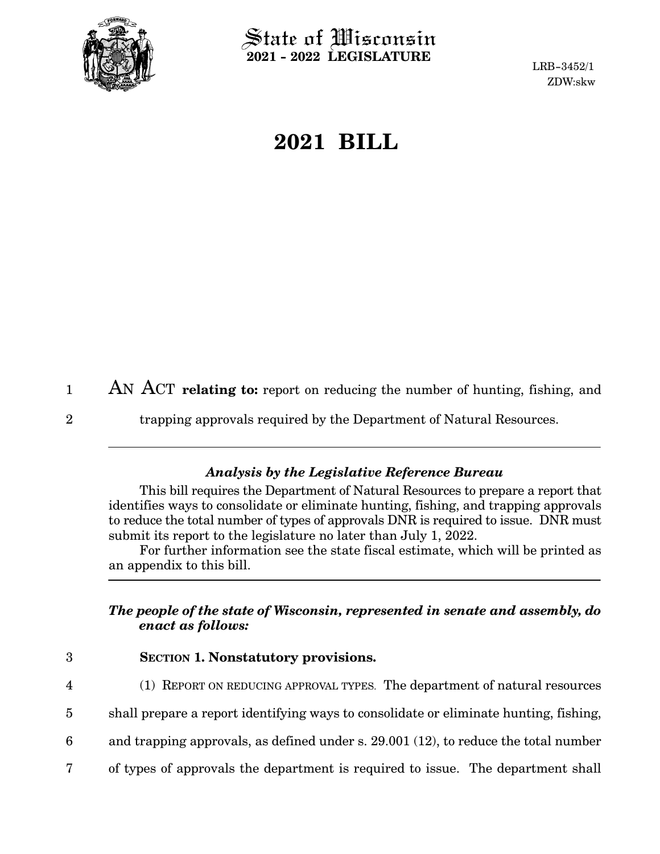

 $\operatorname{\mathsf{State}}$  of Wisconsin **2021 - 2022 LEGISLATURE**

LRB-3452/1 ZDW:skw

## **2021 BILL**

AN ACT **relating to:** report on reducing the number of hunting, fishing, and 1

2

trapping approvals required by the Department of Natural Resources.

## *Analysis by the Legislative Reference Bureau*

This bill requires the Department of Natural Resources to prepare a report that identifies ways to consolidate or eliminate hunting, fishing, and trapping approvals to reduce the total number of types of approvals DNR is required to issue. DNR must submit its report to the legislature no later than July 1, 2022.

For further information see the state fiscal estimate, which will be printed as an appendix to this bill.

## *The people of the state of Wisconsin, represented in senate and assembly, do enact as follows:*

3

4

- **SECTION 1. Nonstatutory provisions.**
- (1) REPORT ON REDUCING APPROVAL TYPES. The department of natural resources
- shall prepare a report identifying ways to consolidate or eliminate hunting, fishing, 5
- and trapping approvals, as defined under s. 29.001 (12), to reduce the total number 6
- of types of approvals the department is required to issue. The department shall 7